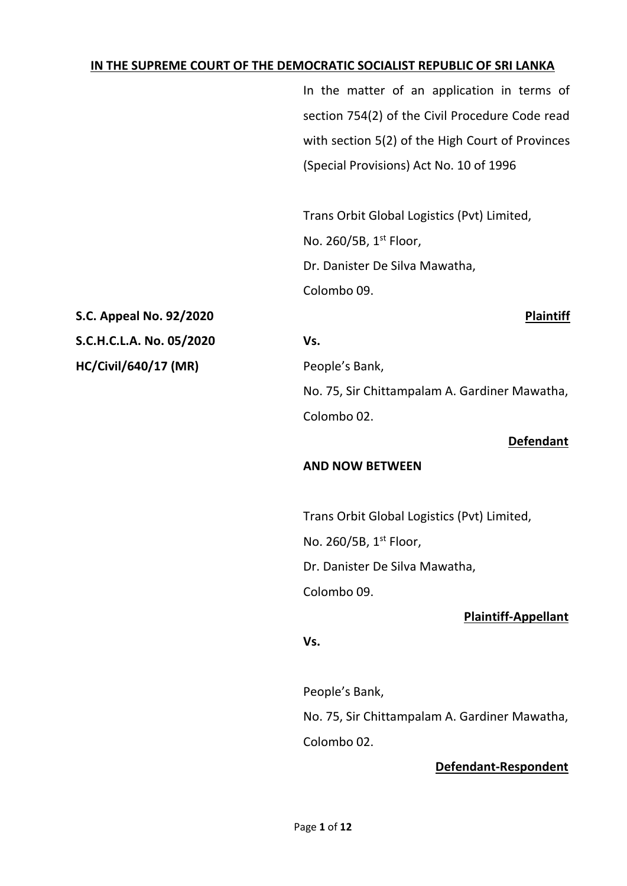#### **IN THE SUPREME COURT OF THE DEMOCRATIC SOCIALIST REPUBLIC OF SRI LANKA**

In the matter of an application in terms of section 754(2) of the Civil Procedure Code read with section 5(2) of the High Court of Provinces (Special Provisions) Act No. 10 of 1996

Trans Orbit Global Logistics (Pvt) Limited, No. 260/5B, 1<sup>st</sup> Floor, Dr. Danister De Silva Mawatha, Colombo 09.

**S.C. Appeal No. 92/2020 Plaintiff S.C.H.C.L.A. No. 05/2020 Vs. HC/Civil/640/17 (MR)** People's Bank,

No. 75, Sir Chittampalam A. Gardiner Mawatha, Colombo 02.

#### **Defendant**

#### **AND NOW BETWEEN**

Trans Orbit Global Logistics (Pvt) Limited,

No. 260/5B, 1st Floor,

Dr. Danister De Silva Mawatha,

Colombo 09.

### **Plaintiff-Appellant**

#### **Vs.**

People's Bank,

No. 75, Sir Chittampalam A. Gardiner Mawatha,

Colombo 02.

# **Defendant-Respondent**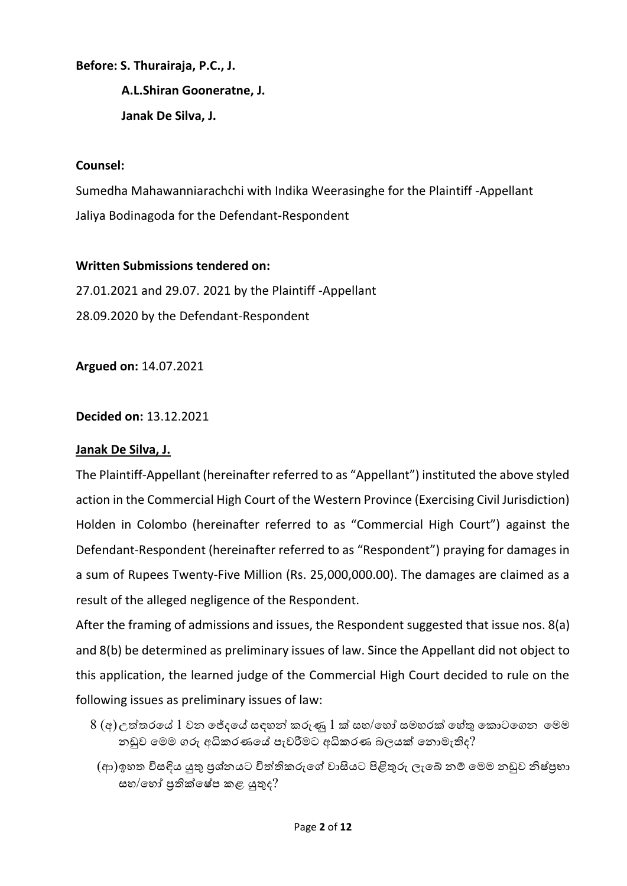**Before: S. Thurairaja, P.C., J.**

**A.L.Shiran Gooneratne, J. Janak De Silva, J.**

## **Counsel:**

Sumedha Mahawanniarachchi with Indika Weerasinghe for the Plaintiff -Appellant Jaliya Bodinagoda for the Defendant-Respondent

### **Written Submissions tendered on:**

27.01.2021 and 29.07. 2021 by the Plaintiff -Appellant 28.09.2020 by the Defendant-Respondent

**Argued on:** 14.07.2021

## **Decided on:** 13.12.2021

# **Janak De Silva, J.**

The Plaintiff-Appellant (hereinafter referred to as "Appellant") instituted the above styled action in the Commercial High Court of the Western Province (Exercising Civil Jurisdiction) Holden in Colombo (hereinafter referred to as "Commercial High Court") against the Defendant-Respondent (hereinafter referred to as "Respondent") praying for damages in a sum of Rupees Twenty-Five Million (Rs. 25,000,000.00). The damages are claimed as a result of the alleged negligence of the Respondent.

After the framing of admissions and issues, the Respondent suggested that issue nos. 8(a) and 8(b) be determined as preliminary issues of law. Since the Appellant did not object to this application, the learned judge of the Commercial High Court decided to rule on the following issues as preliminary issues of law:

- $8$  (අ)උත්තරයේ  $1$  වන ජේදයේ සඳහන් කරුණු  $1$  ක් සහ/හෝ සමහරක් හේතු කොටගෙන මෙම නඩුව යමම ෙරු අධිකරණයේ පැවරීමට අධිකරණ බලයක් යනොමැතිද?
	- (ආ)ඉහත විසඳිය යුතු පුශ්නයට විත්තිකරුගේ වාසියට පිළිතුරු ලැබේ නම් මෙම නඩුව නිෂ්පුහා සහ/හෝ පුතික්ෂේප කළ යුතුද $?$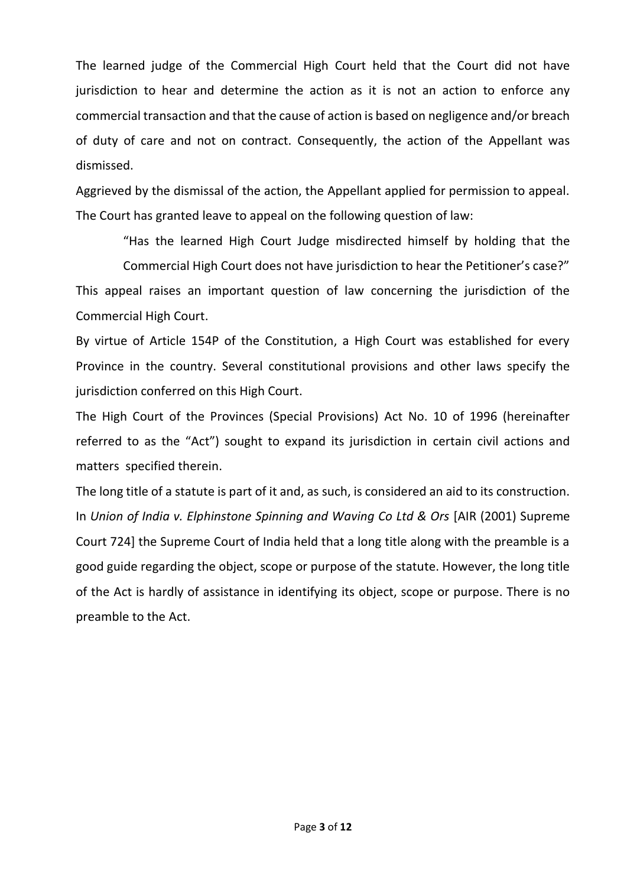The learned judge of the Commercial High Court held that the Court did not have jurisdiction to hear and determine the action as it is not an action to enforce any commercial transaction and that the cause of action is based on negligence and/or breach of duty of care and not on contract. Consequently, the action of the Appellant was dismissed.

Aggrieved by the dismissal of the action, the Appellant applied for permission to appeal. The Court has granted leave to appeal on the following question of law:

"Has the learned High Court Judge misdirected himself by holding that the Commercial High Court does not have jurisdiction to hear the Petitioner's case?" This appeal raises an important question of law concerning the jurisdiction of the Commercial High Court.

By virtue of Article 154P of the Constitution, a High Court was established for every Province in the country. Several constitutional provisions and other laws specify the jurisdiction conferred on this High Court.

The High Court of the Provinces (Special Provisions) Act No. 10 of 1996 (hereinafter referred to as the "Act") sought to expand its jurisdiction in certain civil actions and matters specified therein.

The long title of a statute is part of it and, as such, is considered an aid to its construction. In *Union of India v. Elphinstone Spinning and Waving Co Ltd & Ors* [AIR (2001) Supreme Court 724] the Supreme Court of India held that a long title along with the preamble is a good guide regarding the object, scope or purpose of the statute. However, the long title of the Act is hardly of assistance in identifying its object, scope or purpose. There is no preamble to the Act.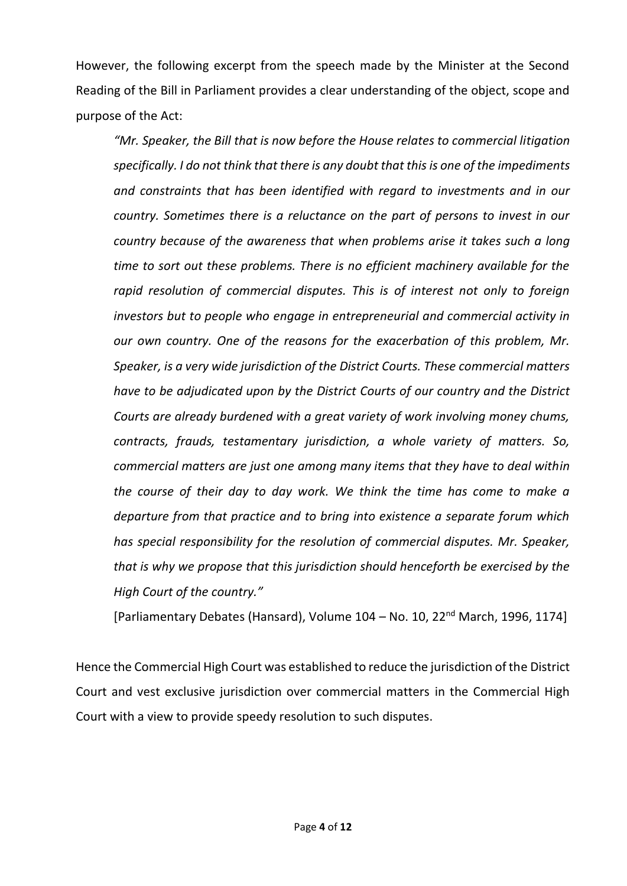However, the following excerpt from the speech made by the Minister at the Second Reading of the Bill in Parliament provides a clear understanding of the object, scope and purpose of the Act:

*"Mr. Speaker, the Bill that is now before the House relates to commercial litigation specifically. I do not think that there is any doubt that this is one of the impediments and constraints that has been identified with regard to investments and in our country. Sometimes there is a reluctance on the part of persons to invest in our country because of the awareness that when problems arise it takes such a long time to sort out these problems. There is no efficient machinery available for the rapid resolution of commercial disputes. This is of interest not only to foreign investors but to people who engage in entrepreneurial and commercial activity in our own country. One of the reasons for the exacerbation of this problem, Mr. Speaker, is a very wide jurisdiction of the District Courts. These commercial matters have to be adjudicated upon by the District Courts of our country and the District Courts are already burdened with a great variety of work involving money chums, contracts, frauds, testamentary jurisdiction, a whole variety of matters. So, commercial matters are just one among many items that they have to deal within the course of their day to day work. We think the time has come to make a departure from that practice and to bring into existence a separate forum which has special responsibility for the resolution of commercial disputes. Mr. Speaker, that is why we propose that this jurisdiction should henceforth be exercised by the High Court of the country."*

[Parliamentary Debates (Hansard), Volume 104 – No. 10, 22nd March, 1996, 1174]

Hence the Commercial High Court was established to reduce the jurisdiction of the District Court and vest exclusive jurisdiction over commercial matters in the Commercial High Court with a view to provide speedy resolution to such disputes.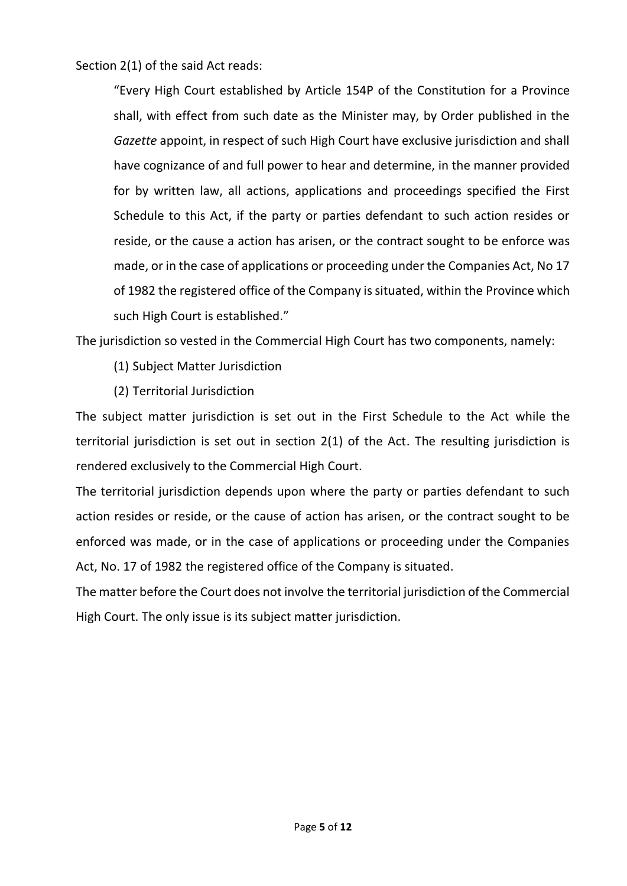Section 2(1) of the said Act reads:

"Every High Court established by Article 154P of the Constitution for a Province shall, with effect from such date as the Minister may, by Order published in the *Gazette* appoint, in respect of such High Court have exclusive jurisdiction and shall have cognizance of and full power to hear and determine, in the manner provided for by written law, all actions, applications and proceedings specified the First Schedule to this Act, if the party or parties defendant to such action resides or reside, or the cause a action has arisen, or the contract sought to be enforce was made, or in the case of applications or proceeding under the Companies Act, No 17 of 1982 the registered office of the Company is situated, within the Province which such High Court is established."

The jurisdiction so vested in the Commercial High Court has two components, namely:

- (1) Subject Matter Jurisdiction
- (2) Territorial Jurisdiction

The subject matter jurisdiction is set out in the First Schedule to the Act while the territorial jurisdiction is set out in section 2(1) of the Act. The resulting jurisdiction is rendered exclusively to the Commercial High Court.

The territorial jurisdiction depends upon where the party or parties defendant to such action resides or reside, or the cause of action has arisen, or the contract sought to be enforced was made, or in the case of applications or proceeding under the Companies Act, No. 17 of 1982 the registered office of the Company is situated.

The matter before the Court does not involve the territorial jurisdiction of the Commercial High Court. The only issue is its subject matter jurisdiction.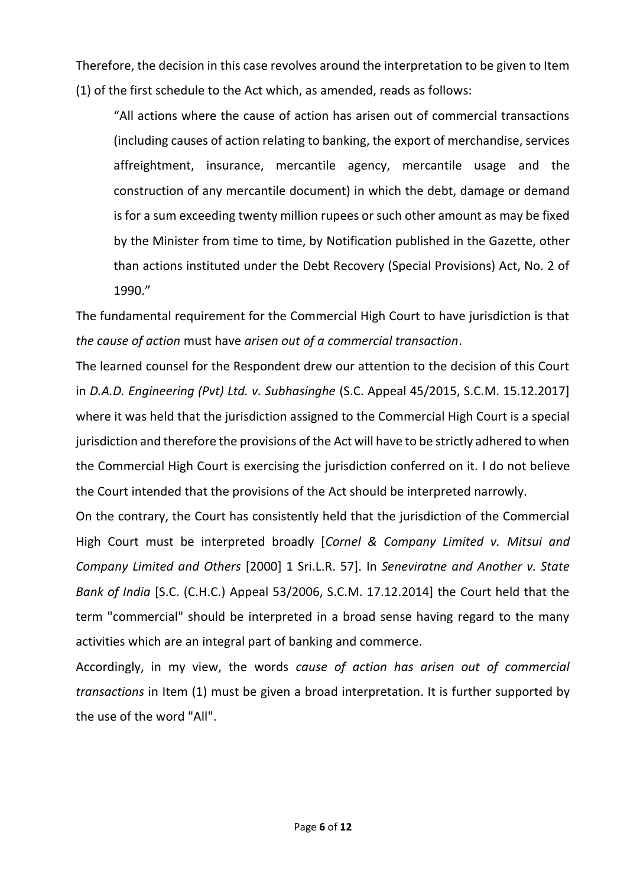Therefore, the decision in this case revolves around the interpretation to be given to Item (1) of the first schedule to the Act which, as amended, reads as follows:

"All actions where the cause of action has arisen out of commercial transactions (including causes of action relating to banking, the export of merchandise, services affreightment, insurance, mercantile agency, mercantile usage and the construction of any mercantile document) in which the debt, damage or demand is for a sum exceeding twenty million rupees or such other amount as may be fixed by the Minister from time to time, by Notification published in the Gazette, other than actions instituted under the Debt Recovery (Special Provisions) Act, No. 2 of 1990."

The fundamental requirement for the Commercial High Court to have jurisdiction is that *the cause of action* must have *arisen out of a commercial transaction*.

The learned counsel for the Respondent drew our attention to the decision of this Court in *D.A.D. Engineering (Pvt) Ltd. v. Subhasinghe* (S.C. Appeal 45/2015, S.C.M. 15.12.2017] where it was held that the jurisdiction assigned to the Commercial High Court is a special jurisdiction and therefore the provisions of the Act will have to be strictly adhered to when the Commercial High Court is exercising the jurisdiction conferred on it. I do not believe the Court intended that the provisions of the Act should be interpreted narrowly.

On the contrary, the Court has consistently held that the jurisdiction of the Commercial High Court must be interpreted broadly [*Cornel & Company Limited v. Mitsui and Company Limited and Others* [2000] 1 Sri.L.R. 57]. In *Seneviratne and Another v. State Bank of India* [S.C. (C.H.C.) Appeal 53/2006, S.C.M. 17.12.2014] the Court held that the term "commercial" should be interpreted in a broad sense having regard to the many activities which are an integral part of banking and commerce.

Accordingly, in my view, the words *cause of action has arisen out of commercial transactions* in Item (1) must be given a broad interpretation. It is further supported by the use of the word "All".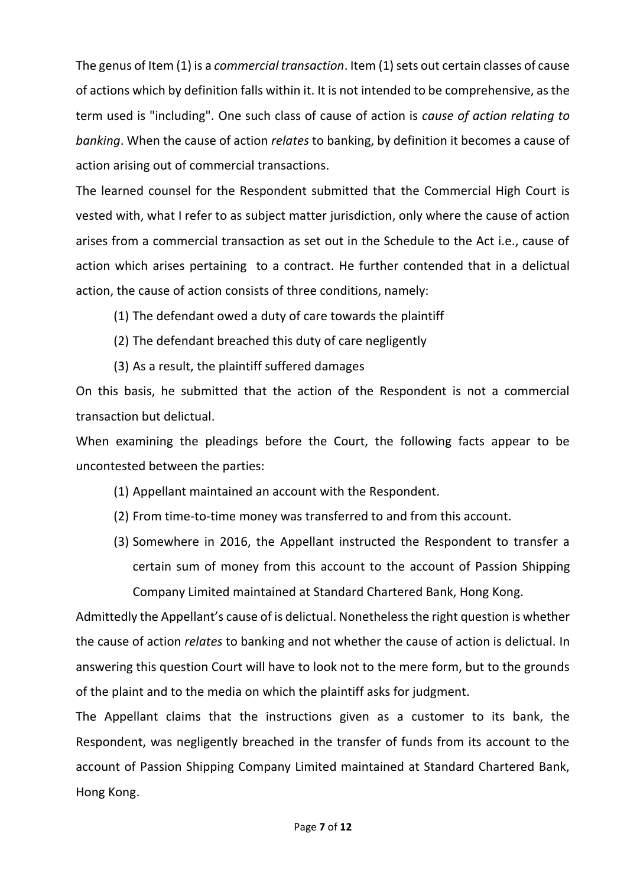The genus of Item (1) is a *commercial transaction*. Item (1) sets out certain classes of cause of actions which by definition falls within it. It is not intended to be comprehensive, as the term used is "including". One such class of cause of action is *cause of action relating to banking*. When the cause of action *relates* to banking, by definition it becomes a cause of action arising out of commercial transactions.

The learned counsel for the Respondent submitted that the Commercial High Court is vested with, what I refer to as subject matter jurisdiction, only where the cause of action arises from a commercial transaction as set out in the Schedule to the Act i.e., cause of action which arises pertaining to a contract. He further contended that in a delictual action, the cause of action consists of three conditions, namely:

- (1) The defendant owed a duty of care towards the plaintiff
- (2) The defendant breached this duty of care negligently
- (3) As a result, the plaintiff suffered damages

On this basis, he submitted that the action of the Respondent is not a commercial transaction but delictual.

When examining the pleadings before the Court, the following facts appear to be uncontested between the parties:

- (1) Appellant maintained an account with the Respondent.
- (2) From time-to-time money was transferred to and from this account.
- (3) Somewhere in 2016, the Appellant instructed the Respondent to transfer a certain sum of money from this account to the account of Passion Shipping Company Limited maintained at Standard Chartered Bank, Hong Kong.

Admittedly the Appellant's cause of is delictual. Nonetheless the right question is whether the cause of action *relates* to banking and not whether the cause of action is delictual. In answering this question Court will have to look not to the mere form, but to the grounds of the plaint and to the media on which the plaintiff asks for judgment.

The Appellant claims that the instructions given as a customer to its bank, the Respondent, was negligently breached in the transfer of funds from its account to the account of Passion Shipping Company Limited maintained at Standard Chartered Bank, Hong Kong.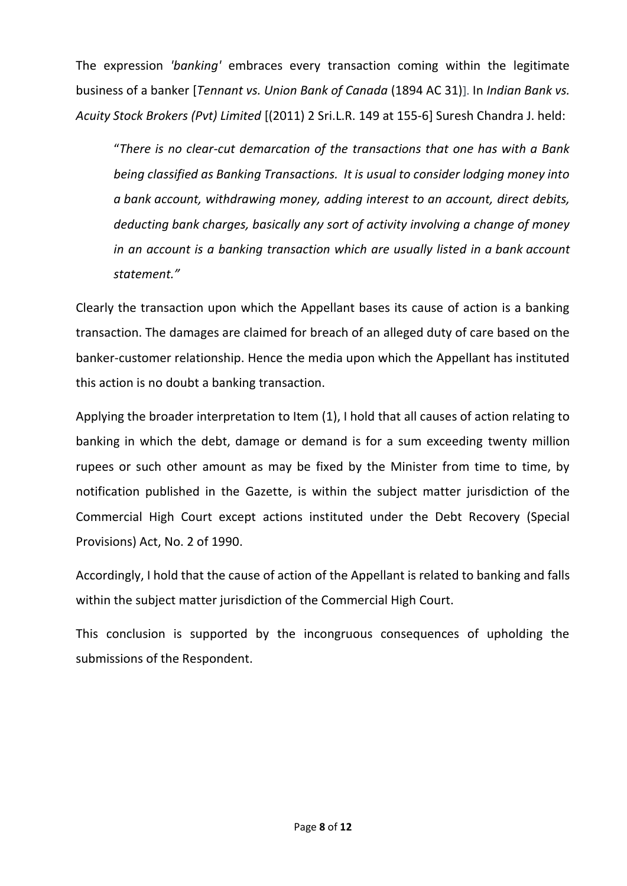The expression *'banking'* embraces every transaction coming within the legitimate business of a banker [*Tennant vs. Union Bank of Canada* (1894 AC 31)]. In *Indian Bank vs. Acuity Stock Brokers (Pvt) Limited* [(2011) 2 Sri.L.R. 149 at 155-6] Suresh Chandra J. held:

"*There is no clear-cut demarcation of the transactions that one has with a Bank being classified as Banking Transactions. It is usual to consider lodging money into a bank account, withdrawing money, adding interest to an account, direct debits, deducting bank charges, basically any sort of activity involving a change of money in an account is a banking transaction which are usually listed in a bank account statement."* 

Clearly the transaction upon which the Appellant bases its cause of action is a banking transaction. The damages are claimed for breach of an alleged duty of care based on the banker-customer relationship. Hence the media upon which the Appellant has instituted this action is no doubt a banking transaction.

Applying the broader interpretation to Item (1), I hold that all causes of action relating to banking in which the debt, damage or demand is for a sum exceeding twenty million rupees or such other amount as may be fixed by the Minister from time to time, by notification published in the Gazette, is within the subject matter jurisdiction of the Commercial High Court except actions instituted under the Debt Recovery (Special Provisions) Act, No. 2 of 1990.

Accordingly, I hold that the cause of action of the Appellant is related to banking and falls within the subject matter jurisdiction of the Commercial High Court.

This conclusion is supported by the incongruous consequences of upholding the submissions of the Respondent.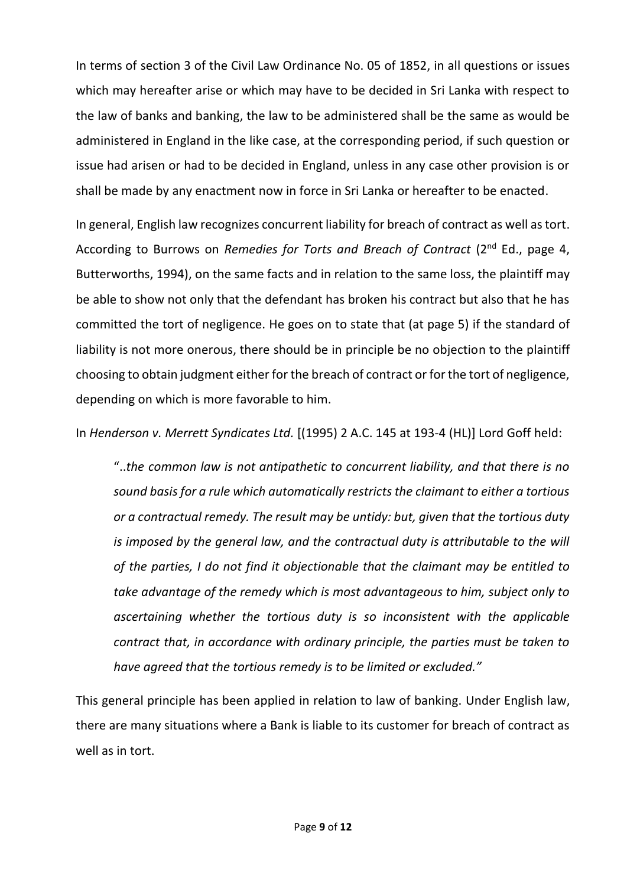In terms of section 3 of the Civil Law Ordinance No. 05 of 1852, in all questions or issues which may hereafter arise or which may have to be decided in Sri Lanka with respect to the law of banks and banking, the law to be administered shall be the same as would be administered in England in the like case, at the corresponding period, if such question or issue had arisen or had to be decided in England, unless in any case other provision is or shall be made by any enactment now in force in Sri Lanka or hereafter to be enacted.

In general, English law recognizes concurrent liability for breach of contract as well as tort. According to Burrows on *Remedies for Torts and Breach of Contract* (2nd Ed., page 4, Butterworths, 1994), on the same facts and in relation to the same loss, the plaintiff may be able to show not only that the defendant has broken his contract but also that he has committed the tort of negligence. He goes on to state that (at page 5) if the standard of liability is not more onerous, there should be in principle be no objection to the plaintiff choosing to obtain judgment either for the breach of contract or for the tort of negligence, depending on which is more favorable to him.

In *Henderson v. Merrett Syndicates Ltd.* [(1995) 2 A.C. 145 at 193-4 (HL)] Lord Goff held:

"..*the common law is not antipathetic to concurrent liability, and that there is no sound basis for a rule which automatically restricts the claimant to either a tortious or a contractual remedy. The result may be untidy: but, given that the tortious duty is imposed by the general law, and the contractual duty is attributable to the will of the parties, I do not find it objectionable that the claimant may be entitled to take advantage of the remedy which is most advantageous to him, subject only to ascertaining whether the tortious duty is so inconsistent with the applicable contract that, in accordance with ordinary principle, the parties must be taken to have agreed that the tortious remedy is to be limited or excluded."*

This general principle has been applied in relation to law of banking. Under English law, there are many situations where a Bank is liable to its customer for breach of contract as well as in tort.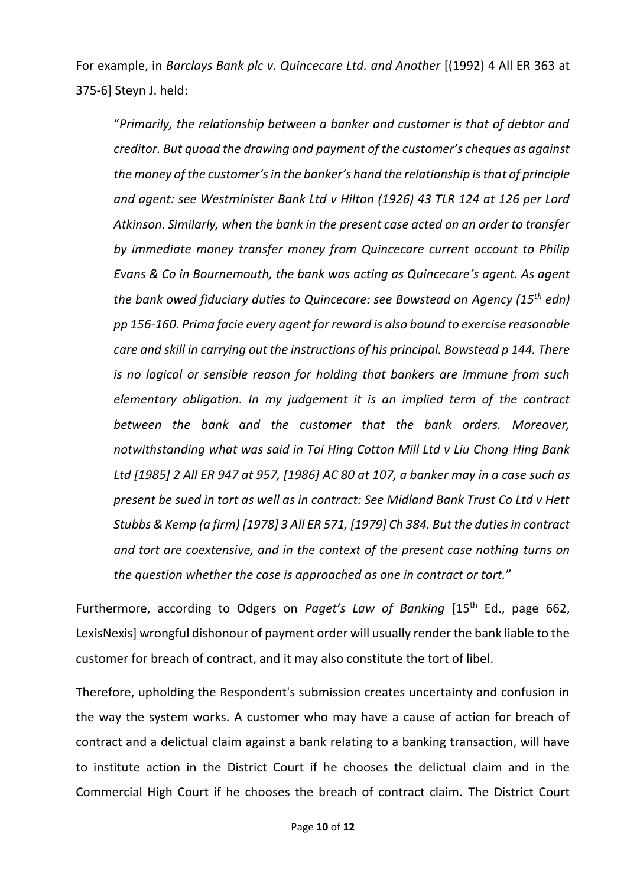For example, in *Barclays Bank plc v. Quincecare Ltd. and Another* [(1992) 4 All ER 363 at 375-6] Steyn J. held:

"*Primarily, the relationship between a banker and customer is that of debtor and creditor. But quoad the drawing and payment of the customer's cheques as against the money of the customer's in the banker's hand the relationship is that of principle and agent: see Westminister Bank Ltd v Hilton (1926) 43 TLR 124 at 126 per Lord Atkinson. Similarly, when the bank in the present case acted on an order to transfer by immediate money transfer money from Quincecare current account to Philip Evans & Co in Bournemouth, the bank was acting as Quincecare's agent. As agent the bank owed fiduciary duties to Quincecare: see Bowstead on Agency (15th edn) pp 156-160. Prima facie every agent for reward is also bound to exercise reasonable care and skill in carrying out the instructions of his principal. Bowstead p 144. There is no logical or sensible reason for holding that bankers are immune from such elementary obligation. In my judgement it is an implied term of the contract between the bank and the customer that the bank orders. Moreover, notwithstanding what was said in Tai Hing Cotton Mill Ltd v Liu Chong Hing Bank Ltd [1985] 2 All ER 947 at 957, [1986] AC 80 at 107, a banker may in a case such as present be sued in tort as well as in contract: See Midland Bank Trust Co Ltd v Hett Stubbs & Kemp (a firm) [1978] 3 All ER 571, [1979] Ch 384. But the duties in contract and tort are coextensive, and in the context of the present case nothing turns on the question whether the case is approached as one in contract or tort.*"

Furthermore, according to Odgers on Paget's Law of Banking [15<sup>th</sup> Ed., page 662, LexisNexis] wrongful dishonour of payment order will usually render the bank liable to the customer for breach of contract, and it may also constitute the tort of libel.

Therefore, upholding the Respondent's submission creates uncertainty and confusion in the way the system works. A customer who may have a cause of action for breach of contract and a delictual claim against a bank relating to a banking transaction, will have to institute action in the District Court if he chooses the delictual claim and in the Commercial High Court if he chooses the breach of contract claim. The District Court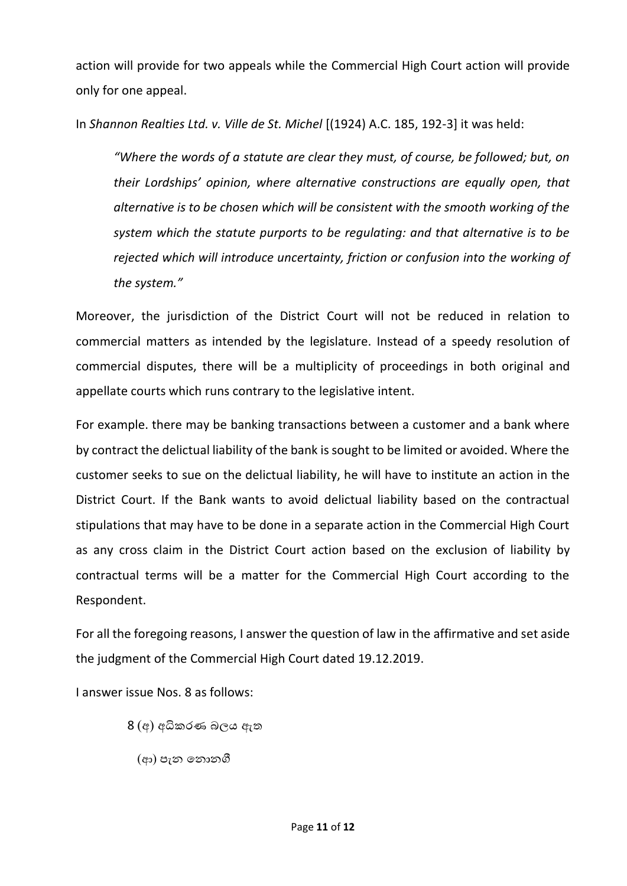action will provide for two appeals while the Commercial High Court action will provide only for one appeal.

In *Shannon Realties Ltd. v. Ville de St. Michel* [(1924) A.C. 185, 192-3] it was held:

*"Where the words of a statute are clear they must, of course, be followed; but, on their Lordships' opinion, where alternative constructions are equally open, that alternative is to be chosen which will be consistent with the smooth working of the system which the statute purports to be regulating: and that alternative is to be rejected which will introduce uncertainty, friction or confusion into the working of the system."*

Moreover, the jurisdiction of the District Court will not be reduced in relation to commercial matters as intended by the legislature. Instead of a speedy resolution of commercial disputes, there will be a multiplicity of proceedings in both original and appellate courts which runs contrary to the legislative intent.

For example. there may be banking transactions between a customer and a bank where by contract the delictual liability of the bank is sought to be limited or avoided. Where the customer seeks to sue on the delictual liability, he will have to institute an action in the District Court. If the Bank wants to avoid delictual liability based on the contractual stipulations that may have to be done in a separate action in the Commercial High Court as any cross claim in the District Court action based on the exclusion of liability by contractual terms will be a matter for the Commercial High Court according to the Respondent.

For all the foregoing reasons, I answer the question of law in the affirmative and set aside the judgment of the Commercial High Court dated 19.12.2019.

I answer issue Nos. 8 as follows:

- 8 (අ) අධිකරණ බලය ඇත
	- (ආ) පැන යනොනගී